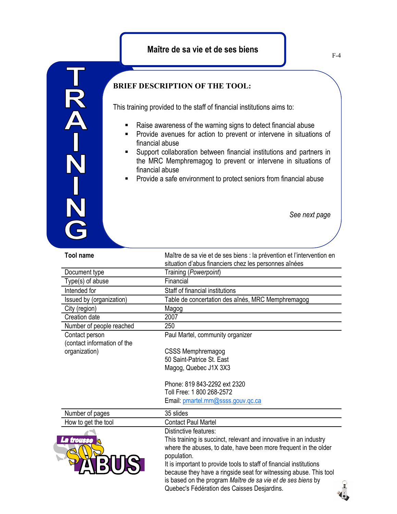

TRA-N<br>N<br>N<br>N

This training provided to the staff of financial institutions aims to:

- Raise awareness of the warning signs to detect financial abuse
- **Provide avenues for action to prevent or intervene in situations of** financial abuse
- **Support collaboration between financial institutions and partners in** the MRC Memphremagog to prevent or intervene in situations of financial abuse
- **Provide a safe environment to protect seniors from financial abuse**

*See next page*

| <b>Tool name</b>                       | Maître de sa vie et de ses biens : la prévention et l'intervention en<br>situation d'abus financiers chez les personnes aînées |
|----------------------------------------|--------------------------------------------------------------------------------------------------------------------------------|
| Document type                          | Training (Powerpoint)                                                                                                          |
| Type(s) of abuse                       | Financial                                                                                                                      |
| Intended for                           | Staff of financial institutions                                                                                                |
| Issued by (organization)               | Table de concertation des aînés, MRC Memphremagog                                                                              |
| City (region)                          | Magog                                                                                                                          |
| Creation date                          | 2007                                                                                                                           |
| Number of people reached               | 250                                                                                                                            |
| Contact person                         | Paul Martel, community organizer                                                                                               |
| (contact information of the            |                                                                                                                                |
| organization)                          | <b>CSSS Memphremagog</b>                                                                                                       |
|                                        | 50 Saint-Patrice St. East                                                                                                      |
|                                        | Magog, Quebec J1X 3X3                                                                                                          |
|                                        | Phone: 819 843-2292 ext 2320                                                                                                   |
|                                        | Toll Free: 1 800 268-2572                                                                                                      |
|                                        | Email: pmartel.mm@ssss.gouv.gc.ca                                                                                              |
| Number of pages                        | 35 slides                                                                                                                      |
| How to get the tool<br>La trousse<br>⊴ | <b>Contact Paul Martel</b>                                                                                                     |
|                                        | Distinctive features:                                                                                                          |
|                                        | This training is succinct, relevant and innovative in an industry                                                              |
|                                        | where the abuses, to date, have been more frequent in the older<br>population.                                                 |
|                                        | It is important to provide tools to staff of financial institutions                                                            |
|                                        | because they have a ringside seat for witnessing abuse. This tool                                                              |
|                                        | is based on the program Maître de sa vie et de ses biens by                                                                    |
|                                        | Quebec's Fédération des Caisses Desjardins.                                                                                    |